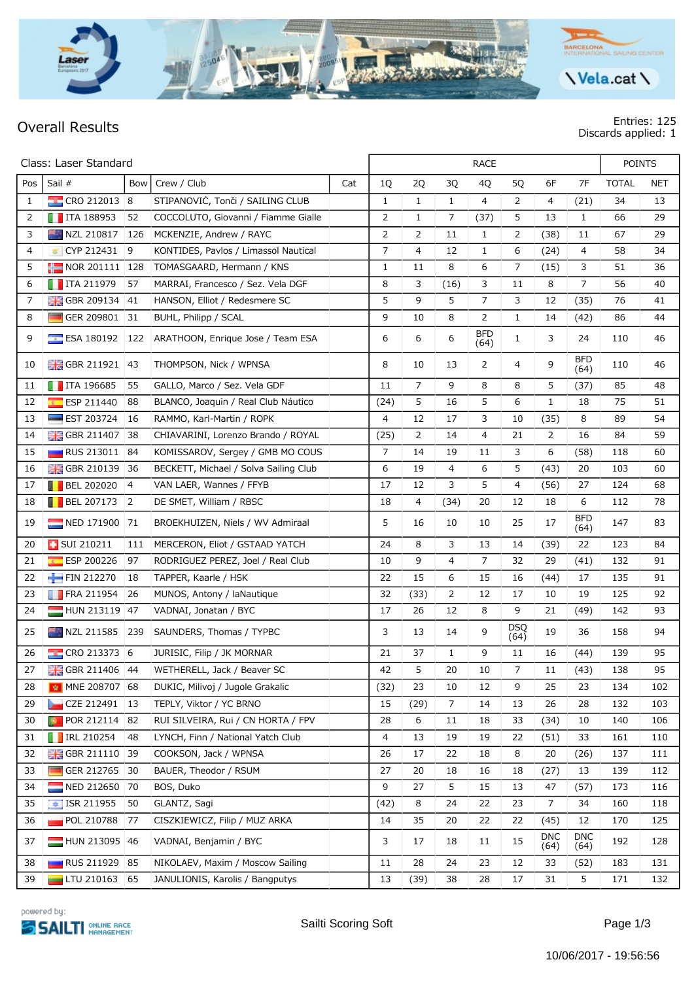

## **Overall Results Entries: 125 Discards applied: 1**

|     | Class: Laser Standard           |     |                                           |     |                | <b>RACE</b>    |              |                    |                    |                    |                    |              | <b>POINTS</b> |  |  |
|-----|---------------------------------|-----|-------------------------------------------|-----|----------------|----------------|--------------|--------------------|--------------------|--------------------|--------------------|--------------|---------------|--|--|
| Pos | Sail #                          | Bow | Crew / Club                               | Cat | 1Q             | 2Q             | 3Q           | 4Q                 | 5Q                 | 6F                 | 7F                 | <b>TOTAL</b> | <b>NET</b>    |  |  |
| 1   | $\frac{1}{2}$ CRO 212013 8      |     | STIPANOVIĆ, Tonči / SAILING CLUB          |     | 1              | $\mathbf{1}$   | $\mathbf{1}$ | 4                  | 2                  | 4                  | (21)               | 34           | 13            |  |  |
| 2   | $\blacksquare$ ITA 188953       | 52  | COCCOLUTO, Giovanni / Fiamme Gialle       |     | 2              | 1              | 7            | (37)               | 5                  | 13                 | $\mathbf{1}$       | 66           | 29            |  |  |
| 3   | NZL 210817                      | 126 | MCKENZIE, Andrew / RAYC                   |     | 2              | 2              | 11           | $\mathbf{1}$       | 2                  | (38)               | 11                 | 67           | 29            |  |  |
| 4   | CYP 212431                      | 9   | KONTIDES, Pavlos / Limassol Nautical      |     | 7              | 4              | 12           | $\mathbf{1}$       | 6                  | (24)               | 4                  | 58           | 34            |  |  |
| 5   | NOR 201111   128                |     | TOMASGAARD, Hermann / KNS                 |     | 1              | 11             | 8            | 6                  | 7                  | (15)               | 3                  | 51           | 36            |  |  |
| 6   | $\blacksquare$ ITA 211979       | 57  | MARRAI, Francesco / Sez. Vela DGF         |     | 8              | 3              | (16)         | 3                  | 11                 | 8                  | 7                  | 56           | 40            |  |  |
| 7   | <b>H</b> GBR 209134             | 41  | HANSON, Elliot / Redesmere SC             |     | 5              | 9              | 5            | 7                  | 3                  | 12                 | (35)               | 76           | 41            |  |  |
| 8   | GER 209801                      | 31  | BUHL, Philipp / SCAL                      |     | 9              | 10             | 8            | 2                  | $\mathbf{1}$       | 14                 | (42)               | 86           | 44            |  |  |
| 9   | $E$ ESA 180192                  | 122 | ARATHOON, Enrique Jose / Team ESA         |     | 6              | 6              | 6            | <b>BFD</b><br>(64) | $\mathbf{1}$       | 3                  | 24                 | 110          | 46            |  |  |
| 10  | $\frac{1}{20}$ GBR 211921       | 43  | THOMPSON, Nick / WPNSA                    |     | 8              | 10             | 13           | 2                  | 4                  | 9                  | <b>BFD</b><br>(64) | 110          | 46            |  |  |
| 11  | $\blacksquare$ ITA 196685       | 55  | GALLO, Marco / Sez. Vela GDF              |     | 11             | $\overline{7}$ | 9            | 8                  | 8                  | 5                  | (37)               | 85           | 48            |  |  |
| 12  | ESP 211440<br>$\overline{R}$    | 88  | BLANCO, Joaquin / Real Club Náutico       |     | (24)           | 5              | 16           | 5                  | 6                  | $\mathbf{1}$       | 18                 | 75           | 51            |  |  |
| 13  | $\equiv$ EST 203724             | 16  | RAMMO, Karl-Martin / ROPK                 |     | $\overline{4}$ | 12             | 17           | 3                  | 10                 | (35)               | 8                  | 89           | 54            |  |  |
| 14  | <b>H</b> GBR 211407             | 38  | CHIAVARINI, Lorenzo Brando / ROYAL        |     | (25)           | 2              | 14           | 4                  | 21                 | 2                  | 16                 | 84           | 59            |  |  |
| 15  | <b>RUS 213011</b>               | 84  | KOMISSAROV, Sergey / GMB MO COUS          |     | $\overline{7}$ | 14             | 19           | 11                 | 3                  | 6                  | (58)               | 118          | 60            |  |  |
| 16  | <b>H</b> GBR 210139             | 36  | BECKETT, Michael / Solva Sailing Club     |     | 6              | 19             | 4            | 6                  | 5                  | (43)               | 20                 | 103          | 60            |  |  |
| 17  | $\blacksquare$ BEL 202020       | 4   | VAN LAER, Wannes / FFYB                   |     | 17             | 12             | 3            | 5                  | 4                  | (56)               | 27                 | 124          | 68            |  |  |
| 18  | $\blacksquare$ BEL 207173       | 2   | DE SMET, William / RBSC                   |     | 18             | 4              | (34)         | 20                 | 12                 | 18                 | 6                  | 112          | 78            |  |  |
| 19  | NED 171900                      | 71  | BROEKHUIZEN, Niels / WV Admiraal          |     | 5              | 16             | 10           | 10                 | 25                 | 17                 | <b>BFD</b><br>(64) | 147          | 83            |  |  |
| 20  | <b>B</b> SUI 210211             | 111 | MERCERON, Eliot / GSTAAD YATCH            |     | 24             | 8              | 3            | 13                 | 14                 | (39)               | 22                 | 123          | 84            |  |  |
| 21  | ESP 200226<br>$\overline{R}$    | 97  | RODRÍGUEZ PÉREZ, Joel / Real Club         |     | 10             | 9              | 4            | 7                  | 32                 | 29                 | (41)               | 132          | 91            |  |  |
| 22  | FIN 212270                      | 18  | TAPPER, Kaarle / HSK                      |     | 22             | 15             | 6            | 15                 | 16                 | (44)               | 17                 | 135          | 91            |  |  |
| 23  | $\blacksquare$ FRA 211954       | 26  | MUNOS, Antony / laNautique                |     | 32             | (33)           | 2            | 12                 | 17                 | 10                 | 19                 | 125          | 92            |  |  |
| 24  | HUN 213119                      | 47  | VADNAI, Jonatan / BYC                     |     | 17             | 26             | 12           | 8                  | 9                  | 21                 | (49)               | 142          | 93            |  |  |
| 25  | NZL 211585                      | 239 | SAUNDERS, Thomas / TYPBC                  |     | 3              | 13             | 14           | 9                  | <b>DSQ</b><br>(64) | 19                 | 36                 | 158          | 94            |  |  |
| 26  | $\frac{1}{2}$ CRO 213373 6      |     | JURISIC, Filip / JK MORNAR                |     | 21             | 37             | $\mathbf{1}$ | 9                  | 11                 | 16                 | (44)               | 139          | 95            |  |  |
| 27  |                                 |     | GBR 211406 44 WETHERELL, Jack / Beaver SC |     | 42             | 5              | 20           | 10                 | $\overline{7}$     | 11                 | (43)               | 138          | 95            |  |  |
| 28  | <b>M</b> MNE 208707 68          |     | DUKIC, Milivoj / Jugole Grakalic          |     | (32)           | 23             | 10           | 12                 | 9                  | 25                 | 23                 | 134          | 102           |  |  |
| 29  | CZE 212491                      | 13  | TEPLY, Viktor / YC BRNO                   |     | 15             | (29)           | 7            | 14                 | 13                 | 26                 | 28                 | 132          | 103           |  |  |
| 30  | POR 212114 82                   |     | RUI SILVEIRA, Rui / CN HORTA / FPV        |     | 28             | 6              | 11           | 18                 | 33                 | (34)               | 10                 | 140          | 106           |  |  |
| 31  | $\blacksquare$ IRL 210254       | 48  | LYNCH, Finn / National Yatch Club         |     | 4              | 13             | 19           | 19                 | 22                 | (51)               | 33                 | 161          | 110           |  |  |
| 32  | <b>HE GBR 211110</b>            | 39  | COOKSON, Jack / WPNSA                     |     | 26             | 17             | 22           | 18                 | 8                  | 20                 | (26)               | 137          | 111           |  |  |
| 33  | GER 212765                      | 30  | BAUER, Theodor / RSUM                     |     | 27             | 20             | 18           | 16                 | 18                 | (27)               | 13                 | 139          | 112           |  |  |
| 34  | NED 212650                      | 70  | BOS, Duko                                 |     | 9              | 27             | 5            | 15                 | 13                 | 47                 | (57)               | 173          | 116           |  |  |
| 35  | $\overline{\bullet}$ ISR 211955 | 50  | GLANTZ, Sagi                              |     | (42)           | 8              | 24           | 22                 | 23                 | 7                  | 34                 | 160          | 118           |  |  |
| 36  | POL 210788                      | 77  | CISZKIEWICZ, Filip / MUZ ARKA             |     | 14             | 35             | 20           | 22                 | 22                 | (45)               | 12                 | 170          | 125           |  |  |
| 37  | HUN 213095 46                   |     | VADNAI, Benjamin / BYC                    |     | 3              | 17             | 18           | 11                 | 15                 | <b>DNC</b><br>(64) | <b>DNC</b><br>(64) | 192          | 128           |  |  |
| 38  | RUS 211929                      | 85  | NIKOLAEV, Maxim / Moscow Sailing          |     | 11             | 28             | 24           | 23                 | 12                 | 33                 | (52)               | 183          | 131           |  |  |
| 39  | $\Box$ LTU 210163 65            |     | JANULIONIS, Karolis / Bangputys           |     | 13             | (39)           | 38           | 28                 | 17                 | 31                 | 5                  | 171          | 132           |  |  |

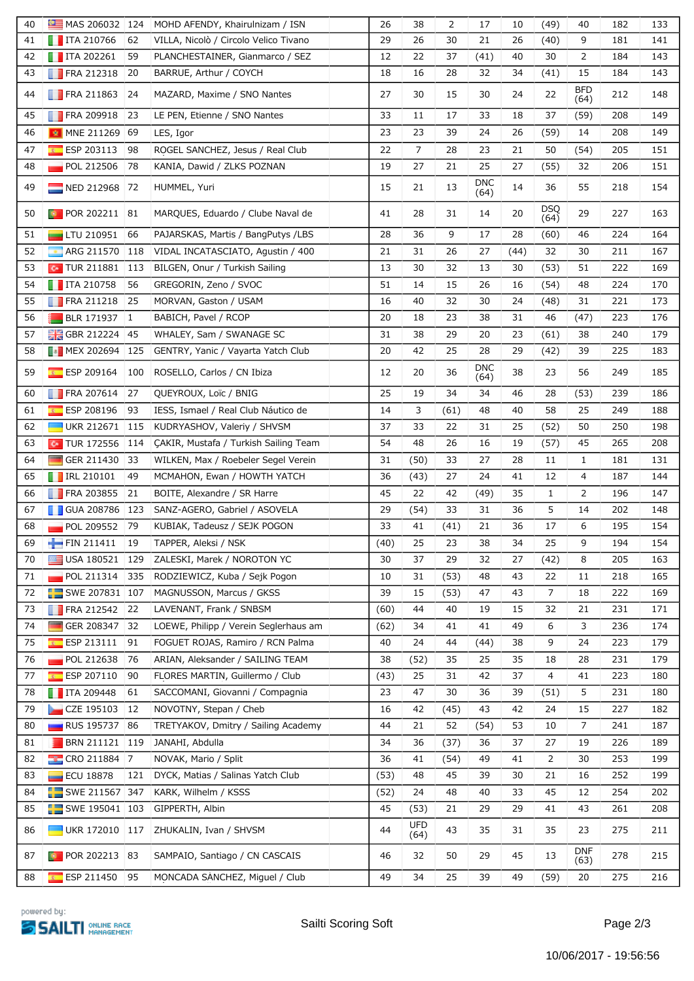| 40 | MAS 206032 124                  |     | MOHD AFENDY, Khairulnizam / ISN       | 26   | 38                 | 2    | 17          | 10   | (49)        | 40                 | 182 | 133 |
|----|---------------------------------|-----|---------------------------------------|------|--------------------|------|-------------|------|-------------|--------------------|-----|-----|
| 41 | $\blacksquare$ ITA 210766       | 62  | VILLA, Nicolò / Circolo Velico Tivano | 29   | 26                 | 30   | 21          | 26   | (40)        | 9                  | 181 | 141 |
| 42 | $\blacksquare$ ITA 202261       | 59  | PLANCHESTAINER, Gianmarco / SEZ       | 12   | 22                 | 37   | (41)        | 40   | 30          | 2                  | 184 | 143 |
| 43 | $\blacksquare$ FRA 212318       | 20  | BARRUE, Arthur / COYCH                | 18   | 16                 | 28   | 32          | 34   | (41)        | 15                 | 184 | 143 |
| 44 | $\blacksquare$ FRA 211863       | 24  | MAZARD, Maxime / SNO Nantes           | 27   | 30                 | 15   | 30          | 24   | 22          | <b>BFD</b><br>(64) | 212 | 148 |
| 45 | <b>FRA 209918</b>               | 23  | LE PEN, Etienne / SNO Nantes          | 33   | 11                 | 17   | 33          | 18   | 37          | (59)               | 208 | 149 |
| 46 | <b>MINE 211269</b>              | 69  | LES, Igor                             | 23   | 23                 | 39   | 24          | 26   | (59)        | 14                 | 208 | 149 |
| 47 | ESP 203113                      | 98  | ROGEL SANCHEZ, Jesus / Real Club      | 22   | $\overline{7}$     | 28   | 23          | 21   | 50          | (54)               | 205 | 151 |
| 48 | POL 212506                      | 78  | KANIA, Dawid / ZLKS POZNAN            | 19   | 27                 | 21   | 25          | 27   | (55)        | 32                 | 206 | 151 |
| 49 | NED 212968                      | 72  | HUMMEL, Yuri                          | 15   | 21                 | 13   | DNC<br>(64) | 14   | 36          | 55                 | 218 | 154 |
| 50 | $\blacksquare$ POR 202211       | 81  | MARQUES, Eduardo / Clube Naval de     | 41   | 28                 | 31   | 14          | 20   | DSQ<br>(64) | 29                 | 227 | 163 |
| 51 | $\blacksquare$ LTU 210951       | 66  | PAJARSKAS, Martis / BangPutys / LBS   | 28   | 36                 | 9    | 17          | 28   | (60)        | 46                 | 224 | 164 |
| 52 | ARG 211570<br><b>CO</b>         | 118 | VIDAL INCATASCIATO, Agustin / 400     | 21   | 31                 | 26   | 27          | (44) | 32          | 30                 | 211 | 167 |
| 53 | $\sim$ TUR 211881               | 113 | BILGEN, Onur / Turkish Sailing        | 13   | 30                 | 32   | 13          | 30   | (53)        | 51                 | 222 | 169 |
| 54 | $\blacksquare$ ITA 210758       | 56  | GREGORIN, Zeno / SVOC                 | 51   | 14                 | 15   | 26          | 16   | (54)        | 48                 | 224 | 170 |
| 55 | $\blacksquare$ FRA 211218       | 25  | MORVAN, Gaston / USAM                 | 16   | 40                 | 32   | 30          | 24   | (48)        | 31                 | 221 | 173 |
| 56 | <b>BLR 171937</b>               | 1   | BABICH, Pavel / RCOP                  | 20   | 18                 | 23   | 38          | 31   | 46          | (47)               | 223 | 176 |
| 57 | <b>H</b> GBR 212224             | 45  | WHALEY, Sam / SWANAGE SC              | 31   | 38                 | 29   | 20          | 23   | (61)        | 38                 | 240 | 179 |
| 58 | <b>B</b> MEX 202694             | 125 | GENTRY, Yanic / Vayarta Yatch Club    | 20   | 42                 | 25   | 28          | 29   | (42)        | 39                 | 225 | 183 |
| 59 | $E$ ESP 209164                  | 100 | ROSELLO, Carlos / CN Ibiza            | 12   | 20                 | 36   | DNC<br>(64) | 38   | 23          | 56                 | 249 | 185 |
| 60 | <b>FRA 207614</b>               | 27  | QUEYROUX, Loïc / BNIG                 | 25   | 19                 | 34   | 34          | 46   | 28          | (53)               | 239 | 186 |
| 61 | ESP 208196                      | 93  | IESS, Ismael / Real Club Náutico de   | 14   | 3                  | (61) | 48          | 40   | 58          | 25                 | 249 | 188 |
| 62 | <b>UKR 212671</b>               | 115 | KUDRYASHOV, Valeriy / SHVSM           | 37   | 33                 | 22   | 31          | 25   | (52)        | 50                 | 250 | 198 |
| 63 | $\sim$ TUR 172556               | 114 | CAKIR, Mustafa / Turkish Sailing Team | 54   | 48                 | 26   | 16          | 19   | (57)        | 45                 | 265 | 208 |
| 64 | GER 211430                      | 33  | WILKEN, Max / Roebeler Segel Verein   | 31   | (50)               | 33   | 27          | 28   | 11          | $\mathbf{1}$       | 181 | 131 |
| 65 | $\blacksquare$ IRL 210101       | 49  | MCMAHON, Ewan / HOWTH YATCH           | 36   | (43)               | 27   | 24          | 41   | 12          | 4                  | 187 | 144 |
| 66 | <b>FRA 203855</b>               | 21  | BOITE, Alexandre / SR Harre           | 45   | 22                 | 42   | (49)        | 35   | 1           | 2                  | 196 | 147 |
| 67 | <b>T</b> GUA 208786             | 123 | SANZ-AGERO, Gabriel / ASOVELA         | 29   | (54)               | 33   | 31          | 36   | 5           | 14                 | 202 | 148 |
| 68 | <b>POL 209552</b>               | 79  | KUBIAK, Tadeusz / SEJK POGON          | 33   | 41                 | (41) | 21          | 36   | 17          | 6                  | 195 | 154 |
| 69 | FIN 211411                      | 19  | TAPPER, Aleksi / NSK                  | (40) | 25                 | 23   | 38          | 34   | 25          | 9                  | 194 | 154 |
| 70 | USA 180521                      | 129 | ZALESKI, Marek / NOROTON YC           | 30   | 37                 | 29   | 32          | 27   | (42)        | 8                  | 205 | 163 |
| 71 | $\blacksquare$ POL 211314       | 335 | RODZIEWICZ, Kuba / Sejk Pogon         | 10   | 31                 | (53) | 48          | 43   | 22          | 11                 | 218 | 165 |
| 72 | $\frac{1}{2}$ SWE 207831 107    |     | MAGNUSSON, Marcus / GKSS              | 39   | 15                 | (53) | 47          | 43   | 7           | 18                 | 222 | 169 |
| 73 | $\blacksquare$ FRA 212542       | 22  | LAVENANT, Frank / SNBSM               | (60) | 44                 | 40   | 19          | 15   | 32          | 21                 | 231 | 171 |
| 74 | GER 208347                      | 32  | LOEWE, Philipp / Verein Seglerhaus am | (62) | 34                 | 41   | 41          | 49   | 6           | 3                  | 236 | 174 |
| 75 | $E =$ ESP 213111                | 91  | FOGUET ROJAS, Ramiro / RCN Palma      | 40   | 24                 | 44   | (44)        | 38   | 9           | 24                 | 223 | 179 |
| 76 | POL 212638                      | 76  | ARIAN, Aleksander / SAILING TEAM      | 38   | (52)               | 35   | 25          | 35   | 18          | 28                 | 231 | 179 |
| 77 | $E$ ESP 207110                  | 90  | FLORES MARTIN, Guillermo / Club       | (43) | 25                 | 31   | 42          | 37   | 4           | 41                 | 223 | 180 |
| 78 | $\blacksquare$ ITA 209448       | 61  | SACCOMANI, Giovanni / Compagnia       | 23   | 47                 | 30   | 36          | 39   | (51)        | 5                  | 231 | 180 |
| 79 | CZE 195103                      | 12  | NOVOTNY, Stepan / Cheb                | 16   | 42                 | (45) | 43          | 42   | 24          | 15                 | 227 | 182 |
| 80 | <b>RUS</b> 195737               | 86  | TRETYAKOV, Dmitry / Sailing Academy   | 44   | 21                 | 52   | (54)        | 53   | 10          | 7                  | 241 | 187 |
| 81 | BRN 211121 119                  |     | JANAHI, Abdulla                       | 34   | 36                 | (37) | 36          | 37   | 27          | 19                 | 226 | 189 |
| 82 | $\frac{1}{2}$ CRO 211884 7      |     | NOVAK, Mario / Split                  | 36   | 41                 | (54) | 49          | 41   | 2           | 30                 | 253 | 199 |
| 83 | ECU 18878                       | 121 | DYCK, Matias / Salinas Yatch Club     | (53) | 48                 | 45   | 39          | 30   | 21          | 16                 | 252 | 199 |
| 84 | SWE 211567 347                  |     | KARK, Wilhelm / KSSS                  | (52) | 24                 | 48   | 40          | 33   | 45          | 12                 | 254 | 202 |
| 85 | SWE 195041 103                  |     | GIPPERTH, Albin                       | 45   | (53)               | 21   | 29          | 29   | 41          | 43                 | 261 | 208 |
| 86 | $\blacksquare$ UKR 172010   117 |     | ZHUKALIN, Ivan / SHVSM                | 44   | <b>UFD</b><br>(64) | 43   | 35          | 31   | 35          | 23                 | 275 | 211 |
| 87 | $\blacksquare$ POR 202213 83    |     | SAMPAIO, Santiago / CN CASCAIS        | 46   | 32                 | 50   | 29          | 45   | 13          | DNF<br>(63)        | 278 | 215 |
| 88 | $\overline{F}$ ESP 211450       | 95  | MONCADA SÁNCHEZ, Miguel / Club        | 49   | 34                 | 25   | 39          | 49   | (59)        | 20                 | 275 | 216 |
|    |                                 |     |                                       |      |                    |      |             |      |             |                    |     |     |